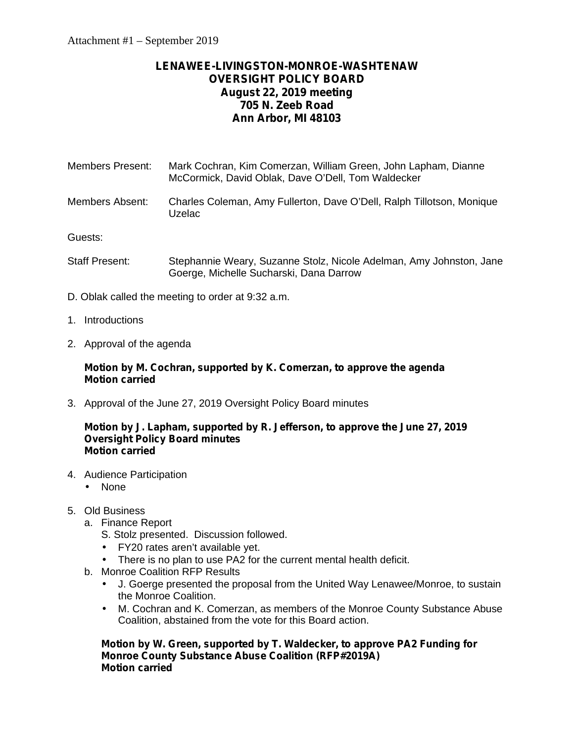# **LENAWEE-LIVINGSTON-MONROE-WASHTENAW OVERSIGHT POLICY BOARD August 22, 2019 meeting 705 N. Zeeb Road Ann Arbor, MI 48103**

- Members Present: Mark Cochran, Kim Comerzan, William Green, John Lapham, Dianne McCormick, David Oblak, Dave O'Dell, Tom Waldecker
- Members Absent: Charles Coleman, Amy Fullerton, Dave O'Dell, Ralph Tillotson, Monique Uzelac

Guests:

- Staff Present: Stephannie Weary, Suzanne Stolz, Nicole Adelman, Amy Johnston, Jane Goerge, Michelle Sucharski, Dana Darrow
- D. Oblak called the meeting to order at 9:32 a.m.
- 1. Introductions
- 2. Approval of the agenda

## **Motion by M. Cochran, supported by K. Comerzan, to approve the agenda Motion carried**

3. Approval of the June 27, 2019 Oversight Policy Board minutes

#### **Motion by J. Lapham, supported by R. Jefferson, to approve the June 27, 2019 Oversight Policy Board minutes Motion carried**

- 4. Audience Participation
	- None
- 5. Old Business
	- a. Finance Report
		- S. Stolz presented. Discussion followed.
		- FY20 rates aren't available yet.
		- There is no plan to use PA2 for the current mental health deficit.
	- b. Monroe Coalition RFP Results
		- J. Goerge presented the proposal from the United Way Lenawee/Monroe, to sustain the Monroe Coalition.
		- M. Cochran and K. Comerzan, as members of the Monroe County Substance Abuse Coalition, abstained from the vote for this Board action.

**Motion by W. Green, supported by T. Waldecker, to approve PA2 Funding for Monroe County Substance Abuse Coalition (RFP#2019A) Motion carried**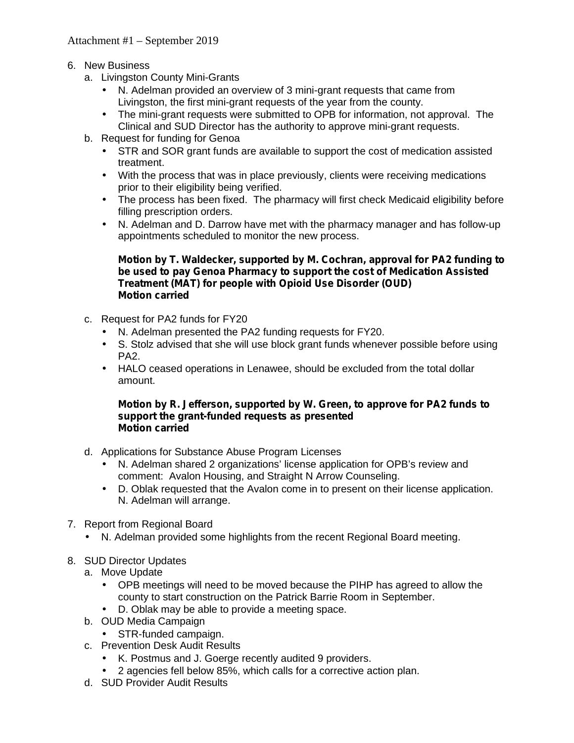- 6. New Business
	- a. Livingston County Mini-Grants
		- N. Adelman provided an overview of 3 mini-grant requests that came from Livingston, the first mini-grant requests of the year from the county.
		- The mini-grant requests were submitted to OPB for information, not approval. The Clinical and SUD Director has the authority to approve mini-grant requests.
	- b. Request for funding for Genoa
		- STR and SOR grant funds are available to support the cost of medication assisted treatment.
		- With the process that was in place previously, clients were receiving medications prior to their eligibility being verified.
		- The process has been fixed. The pharmacy will first check Medicaid eligibility before filling prescription orders.
		- N. Adelman and D. Darrow have met with the pharmacy manager and has follow-up appointments scheduled to monitor the new process.

## **Motion by T. Waldecker, supported by M. Cochran, approval for PA2 funding to be used to pay Genoa Pharmacy to support the cost of Medication Assisted Treatment (MAT) for people with Opioid Use Disorder (OUD) Motion carried**

- c. Request for PA2 funds for FY20
	- N. Adelman presented the PA2 funding requests for FY20.
	- S. Stolz advised that she will use block grant funds whenever possible before using PA2.
	- HALO ceased operations in Lenawee, should be excluded from the total dollar amount.

#### **Motion by R. Jefferson, supported by W. Green, to approve for PA2 funds to support the grant-funded requests as presented Motion carried**

- d. Applications for Substance Abuse Program Licenses
	- N. Adelman shared 2 organizations' license application for OPB's review and comment: Avalon Housing, and Straight N Arrow Counseling.
	- D. Oblak requested that the Avalon come in to present on their license application. N. Adelman will arrange.
- 7. Report from Regional Board
	- N. Adelman provided some highlights from the recent Regional Board meeting.
- 8. SUD Director Updates
	- a. Move Update
		- OPB meetings will need to be moved because the PIHP has agreed to allow the county to start construction on the Patrick Barrie Room in September.
		- D. Oblak may be able to provide a meeting space.
	- b. OUD Media Campaign
	- STR-funded campaign.
	- c. Prevention Desk Audit Results
		- K. Postmus and J. Goerge recently audited 9 providers.
		- 2 agencies fell below 85%, which calls for a corrective action plan.
	- d. SUD Provider Audit Results